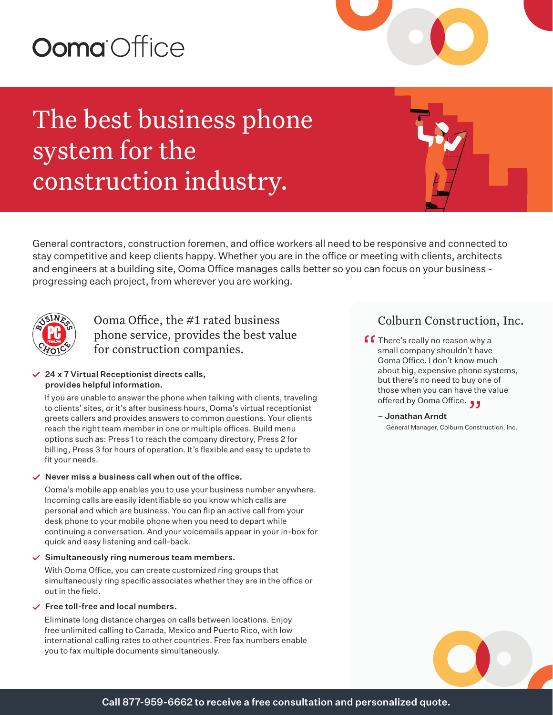# **Ooma** Office

## The best business phone system for the construction industry.

General contractors, construction foremen, and office workers all need to be responsive and connected to stay competitive and keep clients happy. Whether you are in the office or meeting with clients, architects and engineers at a building site, Ooma Office manages calls better so you can focus on your business progressing each project, from wherever you are working.



## Ooma Office, the #1 rated business phone service, provides the best value for construction companies.

#### $\angle$  24 x 7 Virtual Receptionist directs calls, provides helpful information.

If you are unable to answer the phone when talking with clients, traveling to clients' sites, or it's after business hours, Ooma's virtual receptionist greets callers and provides answers to common questions. Your clients reach the right team member in one or multiple offices. Build menu options such as: Press 1 to reach the company directory, Press 2 for billing, Press 3 for hours of operation. It's flexible and easy to update to fit your needs.

#### $\vee$  Never miss a business call when out of the office.

Ooma's mobile app enables you to use your business number anywhere. Incoming calls are easily identifiable so you know which calls are personal and which are business. You can flip an active call from your desk phone to your mobile phone when you need to depart while continuing a conversation. And your voicemails appear in your in-box for quick and easy listening and call-back.

#### $\checkmark$  Simultaneously ring numerous team members.

With Ooma Office, you can create customized ring groups that simultaneously ring specific associates whether they are in the office or out in the field.

#### $\checkmark$  Free toll-free and local numbers.

Eliminate long distance charges on calls between locations. Enjoy free unlimited calling to Canada, Mexico and Puerto Rico, with low international calling rates to other countries. Free fax numbers enable you to fax multiple documents simultaneously.

### Colburn Construction, Inc.

- **f There's really no reason why a**<br>small company shouldn't have<br>Ooma Office Ldon't know muc small company shouldn't have Ooma Office. I don't know much about big, expensive phone systems, but there's no need to buy one of those when you can have the value offered by Ooma Office. "
	- Jonathan Arndt General Manager, Colburn Construction, Inc.